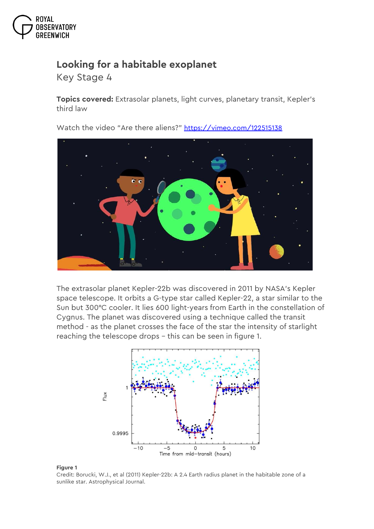

## **Looking for a habitable exoplanet**

*Key Stage 4*

**Topics covered:** Extrasolar planets, light curves, planetary transit, Kepler's third law

Watch the video "Are there aliens?" <https://vimeo.com/122515138>



The extrasolar planet Kepler-22b was discovered in 2011 by NASA's Kepler space telescope. It orbits a G-type star called Kepler-22, a star similar to the Sun but 300°C cooler. It lies 600 light-years from Earth in the constellation of Cygnus. The planet was discovered using a technique called the transit method - as the planet crosses the face of the star the intensity of starlight reaching the telescope drops – this can be seen in figure 1.



## **Figure 1**

Credit: Borucki, W.J., et al (2011) Kepler-22b: A 2.4 Earth radius planet in the habitable zone of a sunlike star. Astrophysical Journal.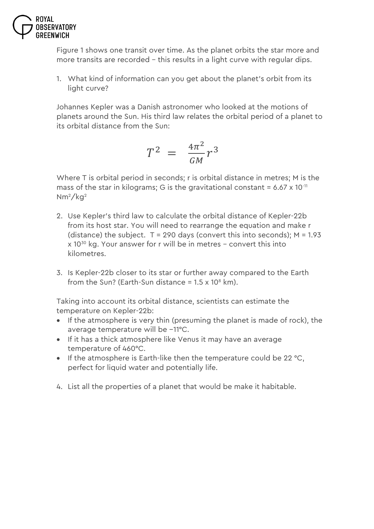

Figure 1 shows one transit over time. As the planet orbits the star more and more transits are recorded – this results in a light curve with regular dips.

1. What kind of information can you get about the planet's orbit from its light curve?

Johannes Kepler was a Danish astronomer who looked at the motions of planets around the Sun. His third law relates the orbital period of a planet to its orbital distance from the Sun:

$$
T^2 = \frac{4\pi^2}{GM} r^3
$$

Where T is orbital period in seconds; r is orbital distance in metres; M is the mass of the star in kilograms; G is the gravitational constant =  $6.67 \times 10^{-11}$ Nm2/kg<sup>2</sup>

- 2. Use Kepler's third law to calculate the orbital distance of Kepler-22b from its host star. You will need to rearrange the equation and make r (distance) the subject.  $T = 290$  days (convert this into seconds);  $M = 1.93$ x 10<sup>30</sup> kg. Your answer for r will be in metres – convert this into kilometres.
- 3. Is Kepler-22b closer to its star or further away compared to the Earth from the Sun? (Earth-Sun distance  $= 1.5 \times 10^8$  km).

Taking into account its orbital distance, scientists can estimate the temperature on Kepler-22b:

- If the atmosphere is very thin (presuming the planet is made of rock), the average temperature will be −11°C.
- If it has a thick atmosphere like Venus it may have an average temperature of 460°C.
- If the atmosphere is Earth-like then the temperature could be 22  $^{\circ}$ C, perfect for liquid water and potentially life.
- 4. List all the properties of a planet that would be make it habitable.